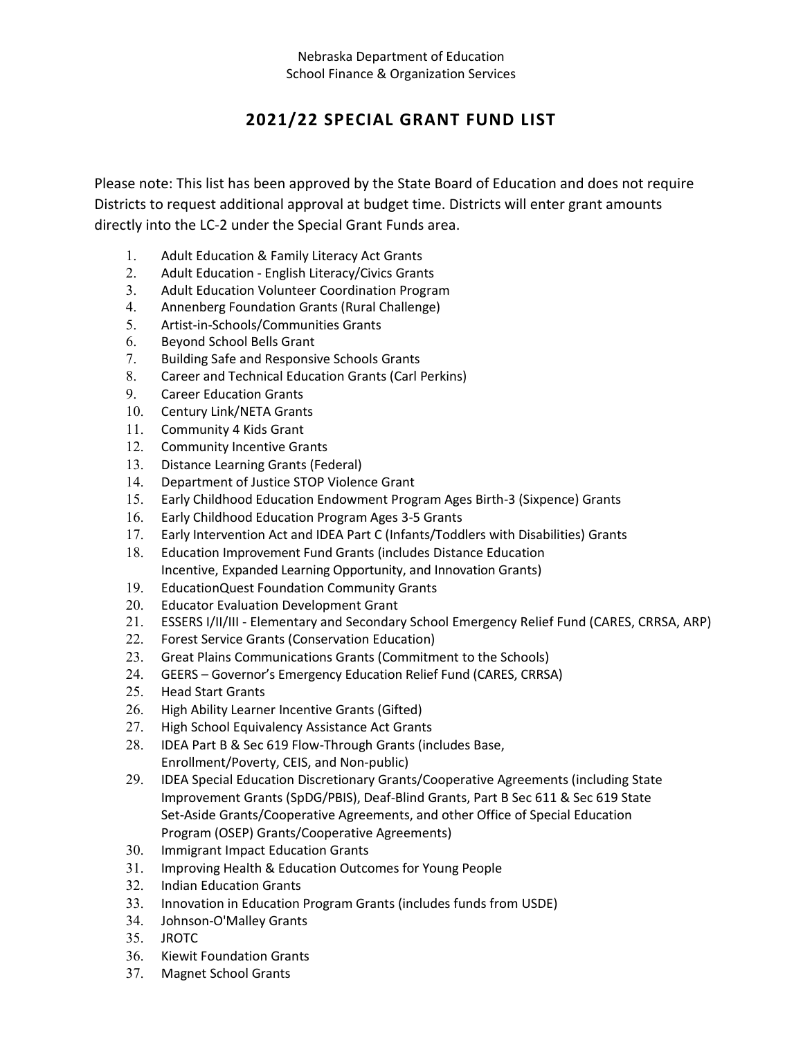## **2021/22 SPECIAL GRANT FUND LIST**

Please note: This list has been approved by the State Board of Education and does not require Districts to request additional approval at budget time. Districts will enter grant amounts directly into the LC‐2 under the Special Grant Funds area.

- 1. Adult Education & Family Literacy Act Grants
- 2. Adult Education English Literacy/Civics Grants
- 3. Adult Education Volunteer Coordination Program
- 4. Annenberg Foundation Grants (Rural Challenge)
- 5. Artist‐in‐Schools/Communities Grants
- 6. Beyond School Bells Grant
- 7. Building Safe and Responsive Schools Grants
- 8. Career and Technical Education Grants (Carl Perkins)
- 9. Career Education Grants
- 10. Century Link/NETA Grants
- 11. Community 4 Kids Grant
- 12. Community Incentive Grants
- 13. Distance Learning Grants (Federal)
- 14. Department of Justice STOP Violence Grant
- 15. Early Childhood Education Endowment Program Ages Birth‐3 (Sixpence) Grants
- 16. Early Childhood Education Program Ages 3‐5 Grants
- 17. Early Intervention Act and IDEA Part C (Infants/Toddlers with Disabilities) Grants
- 18. Education Improvement Fund Grants (includes Distance Education Incentive, Expanded Learning Opportunity, and Innovation Grants)
- 19. EducationQuest Foundation Community Grants
- 20. Educator Evaluation Development Grant
- 21. ESSERS I/II/III ‐ Elementary and Secondary School Emergency Relief Fund (CARES, CRRSA, ARP)
- 22. Forest Service Grants (Conservation Education)
- 23. Great Plains Communications Grants (Commitment to the Schools)
- 24. GEERS Governor's Emergency Education Relief Fund (CARES, CRRSA)
- 25. Head Start Grants
- 26. High Ability Learner Incentive Grants (Gifted)
- 27. High School Equivalency Assistance Act Grants
- 28. IDEA Part B & Sec 619 Flow‐Through Grants (includes Base, Enrollment/Poverty, CEIS, and Non‐public)
- 29. IDEA Special Education Discretionary Grants/Cooperative Agreements (including State Improvement Grants (SpDG/PBIS), Deaf‐Blind Grants, Part B Sec 611 & Sec 619 State Set-Aside Grants/Cooperative Agreements, and other Office of Special Education Program (OSEP) Grants/Cooperative Agreements)
- 30. Immigrant Impact Education Grants
- 31. Improving Health & Education Outcomes for Young People
- 32. Indian Education Grants
- 33. Innovation in Education Program Grants (includes funds from USDE)
- 34. Johnson‐O'Malley Grants
- 35. JROTC
- 36. Kiewit Foundation Grants
- 37. Magnet School Grants